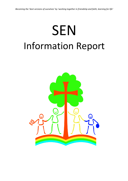# **SEN** Information Report

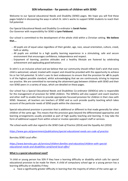# **SEN Information - for parents of children with SEND**

Welcome to our Special educational Needs and Disability (SEND) pages. We hope you will find these pages helpful in discovering the ways in which St. John's works to support SEND students to reach their full potential.

Our Special Educational Needs and Disability Co-ordinator is **Sarah Foster.** Our Governor with responsibility for SEND is **Lynn Fieldsend.**

Our school is committed to the development of the whole child within a Christian setting. **We believe that….**

- <sup>o</sup> All pupils are of equal value regardless of their gender, age, race, sexual orientation, culture, creed, faith or ability.
- <sup>o</sup> All pupils are entitled to a high quality learning experience in a stimulating, safe and secure environment that encourages confidence, independence and respect.
- $\circ$  Enjoyment of learning, positive attitudes and a healthy lifestyle are fostered by celebrating achievement and applauding good behaviour.

St John's is an inclusive school and we believe that our community should reflect God's wish that every child is welcomed, valued, treated with respect and should be provided with the opportunity to achieve his or her full potential. St John's uses its best endeavours to ensure that the provision for **all** its pupils is of the highest possible standard, whilst acknowledging that we are continuously striving to improve our practice. We are committed to narrowing the attainment gap between children with SEND and their non SEND peers in a variety of ways, which are detailed on these pages.

Our school has a Special Educational Needs and Disabilities Co-ordinator (SENDCo) who is responsible for the management of provision for SEND children. The SENDCo will also support and coach teachers and other staff to enable them to provide appropriate focussed provision for children in their class with SEND. However, all teachers are teachers of SEND and as such provide quality teaching which takes account of the particular needs of SEND pupils within the classroom.

Special educational provision is provision that is additional or different to that made generally for other children of the same age. This means that the provision goes beyond the differentiated approaches and learning arrangements usually provided as part of high quality teaching and learning. It may take the form of additional support from within school or involve specialist support staff or services.

*The school works with due regard to the SEND Code of Practice (2014) and the Equality Act (2010)*

*<https://www.gov.uk/government/publications/special-educational-needs-sen-code-of-practice>*

# Barnsley SEND Local offer:

*[https://www.barnsley.gov.uk/services/children-families-and-education/children-with-special](https://www.barnsley.gov.uk/services/children-families-and-education/children-with-special-educational-needs-and-disabilities-send/send-local-offer/)[educational-needs-and-disabilities-send/send-local-offer/](https://www.barnsley.gov.uk/services/children-families-and-education/children-with-special-educational-needs-and-disabilities-send/send-local-offer/)*

# **What is a special educational need?**

'A child or young person has SEN if they have a learning difficulty or disability which calls for special educational provision to be made for them. A child of compulsory school age or a young person has a learning difficulty or disability if they:

a. have a significantly greater difficulty in learning than the majority of others of the same age: or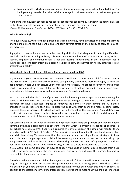b. have a disability which prevents or hinders them from making use of educational facilities of a kind generally provided for others of the same age in mainstream school or mainstream post -16 institutions.

A child under compulsory school age has special educational needs if they fall within the definition at (a) or (b) above or would do so if special educational provision was not made for them. *(Clause 20 Children and Families Act 2014) (SEN Code of Practice 2014, 1.8)* 

# **What is a disability?**

The Equality Act 2010 states that a person has a disability if they have a physical or mental impairment and the impairment has a substantial and long term adverse effect on their ability to carry out day-today activities.

A physical or mental impairment includes: learning difficulties including specific learning difficulties; medical conditions including epilepsy, diabetes, more severe forms of asthma and eczema; autism; speech, language and communication, visual and hearing impairments. If the impairment has a substantial and long-term effect on a person's ability to carry out normal day-to-day activities it may amount to a disability.

# **What should I do if I think my child has a Special needs or a disability?**

If you feel that your child may have SEND then you should ask to speak to your child's class teacher in the first instance. If they are unable to see you straight away they will be more than happy to make an appointment, where you can discuss your concerns in more detail. The school closely monitors all of its children with special needs and at the meeting we may feel that we do need to put in place some strategies and interventions to try and remove your child's barriers to learning.

In accordance with the SEND code of practice, the school uses a graduated approach when meeting the needs of children with SEND. For many children, simple changes to the way that the curriculum is delivered can have a significant impact on removing the barriers to their learning and, with these changes in place, they are soon able to close the gaps with their peers and make in some cases, expected levels of progress. In school we call this 'differentiating the curriculum'. Your child's class teacher will be doing this on a daily basis for all lessons, in order to ensure that all the children in the class can make the most of the learning experiences presented.

For some children this may not be enough to help them make adequate progress and they may need something which is 'additional to and different from' that which is normally provided for all children. In our school here at St John's, if your child requires this level of support the school will monitor them according to the SEND Code of Practice (2014). You will be kept informed of the additional support that your child is receiving. This may mean that the class teacher may be using different strategies to help your child learn, or perhaps your child will be receiving some additional support in a small group alongside other children with similar needs. The small group work will be carefully targeted to address your child's identified area of need and their progress will be closely monitored and evaluated.

If you would like some guidance on how to support your child at home, please contact their class teacher for some suggestions. The most important thing is to try and make the learning fun and to provide lots of praise and encouragement.

The school will monitor your child at this stage for a period of time. You will be kept informed of their progress through termly Child Focused Plan (CFP) meetings. At the meeting, your child's class teacher will share with you how they plan to personalise learning for your child. Often this level of support, in addition to the classroom curriculum differentiation, is sufficient to mean that your child no longer has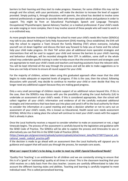barriers to their learning and they start to make progress. However, for some children this may not be enough and the school, with your permission, will make the decision to increase the level of support provided. Simply putting it, through discussions with parents, the school has decided to involve some external professionals or agencies to provide them with more specialist advice and guidance in order to support. This might be from an Educational Psychologist; Speech and Language Therapist; Occupational/ Physiotherapist; Special Advisory Teacher; or a medical professional. If your child's needs are wide ranging or more complex, then it may involve several of these people who will need to work in a co-ordinated way.

As more people become involved in helping the school to meet your child's needs Mrs Foster (SENDCo) may talk to you about holding an Early Help Assessment (EHA) meeting. Once established, the EHA will help the school to organise a Team Around the Family Meeting (TAF) where everyone, including yourself can sit down together and discuss the best way forward to help you at home and the school help your child make progress. On their TAF action plan all additional more specialist strategies and interventions that will be used to support your child and remove the barriers to your child's learning and behaviour challenges, will be recorded alongside their CFP. In addition, some staff or the whole school may undertake specific training in order to help ensure that the environment and strategies used are appropriate to meet your child's needs and teachers and teaching assistants have the relevant skills. You will be kept informed all the way through the process and will be able to make suggestions as to how you can help at home to ensure all round support for your child.

For the majority of children, actions taken using this graduated approach often mean that the child begins to make adequate or expected levels of progress. If this is the case, then the school, following discussions with yourself, may decide to continue to monitor your child or even decide that they no longer need any additional support because they are making good progress.

Only a very small percentage of children require support of an additional nature beyond this. If this is the case, then the SENDCo may discuss with you the possibility of asking the Local Authority (LA) to undertake an assessment of your child's needs. If this is considered appropriate, then the school will collect together all your child's information and evidence of all the carefully evaluated additional strategies and interventions that have been put into place and send it off to the local authority for them to consider the information at a panel meeting and make a decision whether or not to carry out an assessment of your child's needs, this is known as Educational, Health social care needs assessment (EHCNA). Whilst this is taking place the school will continue to meet your child's needs with the support that is already in place.

Once the Local Authority receives a request to consider whether to make an assessment or not, a legal timescale begins. The process of the assessment is carefully bound by the legislation and guidance with the SEND Code of Practice. The SENDCo will be able to explain the process and timescales to you or alternatively you can find this in the SEND Code of Practice (2014).

[\(https://www.gov.uk/government/uploads/system/uploads/attachment\\_data/file/273877/special\\_edu](https://www.gov.uk/government/uploads/system/uploads/attachment_data/file/273877/special_educational_needs_code)of_practice.pdf) cational needs code)of practice.pdf)

If the decision is made to go ahead with an assessment then the Local Authority will signpost you to guidance and support that will assist you through the process, for example core assets.

# **What can I expect St John's to be doing, in order to meet my child's Special Educational Needs?**

'Quality First Teaching' is an entitlement for all children and we are constantly striving to ensure that this is of a 'good' or 'outstanding' quality at all times in school. This is the classroom teaching that your child receives on a daily basis from the class teacher. Lessons are carefully differentiated to take into account the different learning styles and abilities. Teaching and learning is carefully targeted to meet individual need. This is called personalised learning.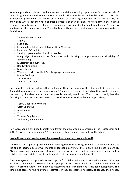Where appropriate, children may have access to additional small group activities for short periods of time alongside other children with similar needs. This may be to undertake work on particular intervention programmes or simply as a means of facilitating opportunities to revisit skills, or knowledge where they may need additional practice or over-learning. The work carried out in small groups is carefully overseen by the class teacher who is responsible for monitoring the child's progress and targeting the support carefully. The school currently has the following group interventions available for children;

- <sup>o</sup> Thumbs up (social skills),
- <sup>o</sup> THRIVE,
- <sup>o</sup> Lego club,
- $\circ$  Keep up daily 1:1 sessions following Read Write Inc
- <sup>o</sup> Fresh start (Y5 and 6)
- <sup>o</sup> Small group comprehension skills practise
- <sup>o</sup> Dough Gym (intervention for fine motor skills, focusing on improvement and durability of handwriting),
- <sup>o</sup> IDL Literacy and numeracy
- <sup>o</sup> Handwriting group
- <sup>o</sup> Music Therapy
- <sup>o</sup> Welcomm NELI (Nuffield Early Language Intevention)
- <sup>o</sup> Maths Catch up
- <sup>o</sup> Social Stories
- <sup>o</sup> Zones of regulations

However, if a child needed something outside of these interventions, then this would be considered. Some children may require interventions of a 1:1 nature for very short periods of time. Again these are overseen by the class teacher and progress is carefully monitored. The school currently has the following 1:1 interventions available for those children for whom it is deemed appropriate,

- <sup>o</sup> Daily 1:1 for Read Write Inc
- <sup>o</sup> Catch up maths
- <sup>o</sup> Jump ahead
- <sup>o</sup> Thrive
- <sup>o</sup> Zones of Regulations
- <sup>o</sup> IDL literacy and numeracy

However, should a child need something different then this would be considered. The Headteacher and SENDCo oversee the allocation of 1:1, group interventions support timetable for the school.

#### **How will my child's learning needs be assessed and their progress monitored?**

The school has a rigorous programme for assessing children's learning. Some assessment takes place at the end of specific pieces of work to inform teacher's planning of the children's next steps in learning. Also, on-going assessments takes place on a daily basis to ensure that the opportunities presented to children are appropriate to meet needs and aid their learning and development.

The same systems and procedures are in place for children with special educational needs. In some instances, additional assessment may be appropriate for children with special educational needs in order to provide further information to determine their strengths and areas for development. The school has access to the following assessments if they are deemed necessary to identify their needs,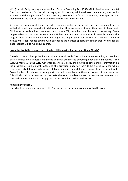NELI (Nuffield Early Language Intervention), Dyslexia Screening Test (DST) NFER (Baseline assessments) The class teacher / SENDCo will be happy to discuss any additional assessment used, the results achieved and the implications for future learning. However, it is felt that something more specialised is required then the relevant service could be constructed to discuss this.

St John's set aspirational targets for all its children including those with special educational needs. Individual targets are shared with children so that they are aware of what they need to learn next. Children with special educational needs, who have a CFP, have their contributions to the setting of new targets taken into account. Once a new CFP has been written the school will carefully monitor the progress being made. If it is felt that the targets are inappropriate for any reason, then the school will discuss more appropriate targets with parents at the earliest opportunity rather than waiting for an inappropriate CFP to run its full course.

#### **How effective is the school's provision for children with Special educational Needs?**

The school has a robust policy for special educational needs. The policy is implemented by all members of staff and its effectiveness is monitored and evaluated by the Governing Body on an annual basis. The SENDCo meets with the SEND Governor on a termly basis, enabling up to date general information on the progress of children with SEND and the provision made for them to be shared with the whole governing body. Information from parental questionnaires and children's comments are reported to the Governing Body in relation to the support provided or feedback on the effectiveness of new resources. This will also help us to ensure that we make the necessary developments to ensure we have used our best endeavours to minimise the gaps in our provision for children with SEND.

#### **Admission to school.**

The school will admit children with EHC Plans, in which the school is named within the plan.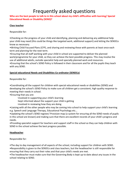# Frequently asked questions

**Who are the best people to talk to in this school about my child's difficulties with learning/ Special Educational Needs or Disability (SEND)?**

# **Class teacher**

Responsible for:

•Checking on the progress of your child and identifying, planning and delivering any additional help your child may need (this could be things like targeted work, additional support) and letting the SENDCo know as necessary.

•Writing Child Focused Plans (CFP), and sharing and reviewing these with parents at least once each term and planning for the next term.

•Ensuring that all staff working with your child in school are supported to deliver the planned work/programme for your child, so they can achieve the best possible progress. This may involve the use of additional adults, outside specialist help and specially planned work and resources.

•Ensuring that the school's SEND Policy is followed in their classroom and for all the pupils they teach with any SEND.

# **Special educational Needs and Disabilities Co-ordinator (SENDCo)**

Responsible for:

•Coordinating all the support for children with special educational needs or disabilities (SEND) and developing the school's SEND Policy to make sure all children get a consistent, high quality response to meeting their needs in school.

•Ensuring that you are:

◦involved in supporting your child's learning

◦kept informed about the support your child is getting

◦involved in reviewing how they are doing

•Liaising with all the other people who may be coming into school to help support your child's learning e.g. Speech and Language Therapy, Educational Psychology etc...

•Updating the school's SEND register/ Provision map (a system for ensuring all the SEND needs of pupils in this school are known) and making sure that there are excellent records of your child's progress and needs.

•Providing specialist support for teachers and support staff in the school so they can help children with SEND in the school achieve the best progress possible.

# **Headteacher**

Responsible for:

•The day to day management of all aspects of the school, including support for children with SEND.

•Responsibility is given to the SENDCo and class teachers, but the headteacher is still responsible for ensuring that they carry out their roles and that your child's needs are met.

•The headteacher must make sure that the Governing Body is kept up to date about any issues in the school relating to SEND.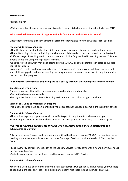# **SEN Governor**

Responsible for:

•Making sure that the necessary support is made for any child who attends the school who has SEND.

# **What are the different types of support available for children with SEND in St. John's?**

Class teacher input via excellent targeted classroom teaching also known as Quality First Teaching.

#### *For your child this would mean:*

•That the teacher has the highest possible expectations for your child and all pupils in their class.

•That all teaching is based on building on what your child already knows, can do and can understand.

•Different ways of teaching are in place so that your child is fully involved in learning in class. This may involve things like using more practical learning.

•Specific strategies (which may be suggested by the SENDCO or outside staff) are in place to support your child to learn.

•Your child's teacher will have carefully checked on your child's progress and will have decided that your child has gaps in their understanding/learning and needs some extra support to help them make the best possible progress.

# *All children in school should be getting this as a part of excellent classroom practice when needed.*

#### **Specific small group work**

These groups, are often called Intervention groups by schools and may be:

- •Run in the classroom or outside.
- •Run by a teacher or most often a Teaching assistant who has had training to run them.

#### **Stage of SEN Code of Practice: SEN Support**

This means children have been identified by the class teacher as needing some extra support in school.

# *For your child this would mean:*

•They will engage in group sessions with specific targets to help them to make more progress. •A Teaching Assistant / teacher will run these 1:1 or small group sessions using the teacher's plan

# *This type of support is available for any child who has specific gaps in their understanding of a subject/area of learning.*

This can also move forward and children are identified by the class teacher/SENDCo or Headteacher as needing some extra specialist support in school from a professional outside the school. This may be from:

- Local Authority central services such as the Sensory Service (for students with a hearing or visual need) or specialist teacher.
- •Outside agencies such as the Speech and Language therapy (SALT) Service

#### *For your child this would mean:*

•Your child will have been identified by the class teacher/SENDCo (or you will have raised your worries) as needing more specialist input; or in addition to quality first teaching and intervention groups.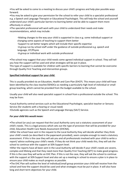•You will be asked to come to a meeting to discuss your child's progress and help plan possible ways forward.

•You may be asked to give your permission for the school to refer your child to a specialist professional e.g. a Speech and Language Therapist or Educational Psychologist. This will help the school and yourself understand your child's particular barriers to learning better and be able to support them more effectively in school.

•The specialist professional will work with your child to understand their needs and make recommendations, which may include:

◦Making changes to the way your child is supported in class e.g. some individual support or changing some aspects of teaching to support them better ◦Support to set better targets which will include their specific expertise ◦A group run by school staff under the guidance of outside professional e.g. speech and language, OT/Physio ◦A group or individual work with outside professional

•The school may suggest that your child needs some agreed individual support in school. They will tell you how the support will be used and what strategies will be put in place.

This type of support is available for children with specific barriers to learning that cannot be overcome through Quality First Teaching and intervention groups.

# **Specified Individual support for your child**.

This is usually provided via an Education, Health and Care Plan (EHCP). This means your child will have been identified by the class teacher/SENDCo as needing a particularly high level of individual or small group teaching, which cannot be provided from the budget available to the school.

Usually your child will also need specialist support in school from a professional outside the school. This may be from:

•Local Authority central services such as the Educational Psychologist, specialist teacher or Sensory Service (for students with a hearing or visual need)

•Outside agencies such as the Speech and Language therapy (SALT) Service.

# *For your child this would mean:*

•The school (or you) can request that the Local Authority carry out a statutory assessment of your child's needs. This is a legal process which sets out the type of provision that will be provided for your child, Education Health Care Needs Assessment (EHCNA).

•After the school have sent in the request to the Local Authority they will decide whether they think your child's needs (as described in the paperwork provided), seem complex enough to need a statutory assessment. If this is the case they will ask you and all professionals involved with your child to write a report/ advice outlining your child's needs. If they do not think your child needs this, they will ask the school to continue with the support at SEN Support level.

•After the reports have all been sent in the Local Authority will decide if your child's needs are severe, complex and lifelong and that they need more than Quality First Teaching (QFT) to make good progress. If this is the case they will write an EHC Plan. If this is not the case, they will ask the school to continue with the support at SEN Support level and also set up a meeting in school to ensure a plan is in place to ensure your child makes as much progress as possible.

•The EHC Plan will outline the level of individual/small group provision your child will receive from the school and how the support should be used and what strategies must be put in place. It will also have long and short term objectives for your child.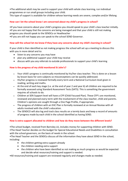•The additional adult may be used to support your child with whole class learning, run individual programmes or run small groups including your child.

This type of support is available for children whose learning needs are severe, complex and/or lifelong

# **How can I let the school know I am concerned about my child's progress in school?**

•If you have concerns about your child's progress you should speak to your child's class teacher initially. •If you are not happy that the concerns are being managed and that your child is still not making progress you should speak to the SENDCo or Headteacher

•If you are still not happy you can speak to the school SEND Governor.

# **How will the school let me know if they have any concerns about my child's learning in school?**

If your child is then identified as not making progress the school will set up a meeting to discuss this with you in more detail and to:

- listen to any concerns you may have
- plan any additional support your child may receive
- discuss with you any referrals to outside professionals to support your child's learning

# **How is the progress of my child monitored St John's?**

- Your child's progress is continually monitored by his/her class teacher. This is done on a lesson by lesson basis for core subjects so misconceptions can be quickly addressed.
- His/her progress is reviewed formally every term and a National Curriculum level given in reading, writing and maths.
- At the end of each key stage (i.e. at the end of year 2 and year 6) all children are required to be formally assessed using Standard Assessment Tests (SATS). This is something the government requires all schools to do.
- Children at SEN Support level will have a CFP (Child Focused Plan). These CFP's are monitored, reviewed and planned every term with the involvement of the class teacher, child and parents. Children's opinions are sought through a One Page Profile, if appropriate.
- The progress of children with an EHC Plan is formally reviewed at an Annual Review with all adults involved with the child's education.
- The SENDCO will also log and track class results on a termly basis and keep a record of amounts of progress made by each child in the school identified as having SEND.

# **How is extra support allocated to children and how do they move between the different levels?**

•The school budget, received from Barnsley LA, includes money for supporting children with SEND.

•The Head Teacher decides on the budget for Special Educational Needs and Disabilities in consultation with the school governors, on the basis of needs in the school.

•The Head Teacher and the SENDCo discuss all the information they have about SEND in the school, including:

- the children getting extra support already
- the children needing extra support
- the children who have been identified as not making as much progress as would be expected and decide what resources/training and support is needed.

•All resources/training and support are reviewed regularly and changes made as needed.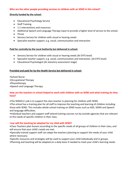#### **Who are the other people providing services to children with an SEND in this school?**

#### **Directly funded by the school**:

- Educational Psychology Service
- Staff Training
- 1:1 interventions and resources
- Additional Speech and Language Therapy input to provide a higher level of service to the school.
- Thrive
- Sensory Service for children with visual or hearing needs
- Specialist teacher support, e.g. social, communication and interaction

#### **Paid for centrally by the Local Authority but delivered in school:**

- Sensory Service for children with visual or hearing needs (At EYFS level)
- Specialist teacher support, e.g. social, communication and interaction. (At EYFS level)
- Educational Psychologist (At statutory assessment stage)

#### **Provided and paid for by the Health Service but delivered in school:**

- •School Nurse
- •Occupational Therapy
- •Physiotherapy
- •Speech and Language Therapy.

# **How are the teachers in school helped to work with children with an SEND and what training do they have?**

- •The SENDCo's job is to support the class teacher in planning for children with SEND.
- •The school has a training plan for all staff to improve the teaching and learning of children including those with SEND. This includes whole school training on SEND issues such as ASD, SEMH and Speech and language difficulties.
- •Individual teachers and support staff attend training courses run by outside agencies that are relevant to the needs of specific children in their class.

#### H**ow will the teaching be adapted for my child with SEND?**

•Class Teachers plan lessons according to the specific needs of all groups of children in their class, and will ensure that your child's needs are met.

- •Specially trained support staff can adapt the teachers planning to support the needs of your child where necessary.
- •Specific resources and strategies will be used to support your child individually and in groups.
- •Planning and teaching will be adapted on a daily basis if needed to meet your child's learning needs.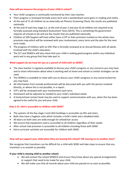# **How will we measure the progress of your child in school?**

- Your child's progress is continually monitored by their class teacher.
- Their progress is reviewed formally every term and a standardised score given in reading and maths.
- At the end of Y1 all children sit an externally set Phonics Screening Check, the results are published nationally.
- At the end of each key stage (i.e. at the end of year 2 and year 6) all children are required to be formally assessed using Standard Assessment Tests (SATS). This is something the government requires all schools to do and are the results that are published nationally.
- Children at SEN Support will have either have a CFP or their provision tracked on the whole class provision map which will be reviewed with your involvement, every term and the plan for the next term made.
- The progress of children with an EHC Plan is formally reviewed at an Annual Review with all adults involved with the child's education.
- The SLT and SENDCo will also check that your child is making good progress within any individual work and in any group that they take part in.

# **What support do we have for you as a parent of child with an SEND?**

- The class teacher is regularly available to discuss your child's progress or any concerns you may have and to share information about what is working well at home and school so similar strategies can be used.
- The SENDCo is available to meet with you to discuss your child's progress or any concerns/worries you may have.
- All information from outside professionals will be discussed with you with the person involved directly, or where this is not possible, in a report.
- CFP's will be reviewed with your involvement each term.
- Homework will be adjusted as needed to your child's individual needs.
- A home/school contact book may be used to support communication with you, when this has been agreed to be useful for you and your child.

# **How is St. John's accessible to children with SEND?**

- The upstairs of the Key stage 2 and LKS2 buildings is accessible via lifts and stairs,
- Both sites have a hygiene suite which includes a child's toilet and a disabled toilet.
- All doors on both sites are wide enough for wheelchair access
- We ensure that equipment used is accessible to all children regardless of their needs.
- After school club provision is accessible to all children including those with SEND.
- Extra curricular activities are accessible for children with SEND.

# **How will we support your child when they are leaving this school? OR moving on to another class?**

We recognise that transitions can be difficult for a child with SEND and take steps to ensure that any transition is as smooth as possible.

# **If your child is moving child to another school:**

- We will contact the school SENDCO and ensure they know about any special arrangements or support that need to be made for your child.
- We will make sure that all records about your child are passed on as soon as possible.